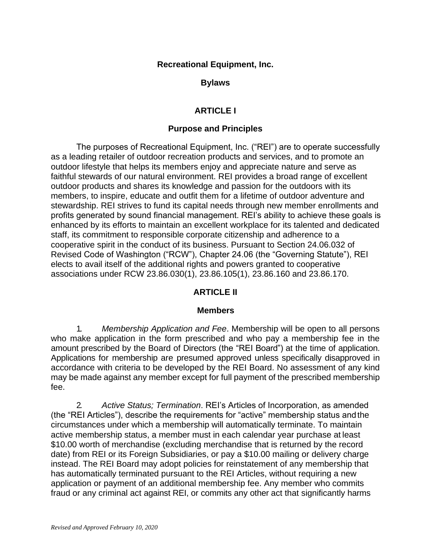### **Recreational Equipment, Inc.**

### **Bylaws**

# **ARTICLE I**

### **Purpose and Principles**

The purposes of Recreational Equipment, Inc. ("REI") are to operate successfully as a leading retailer of outdoor recreation products and services, and to promote an outdoor lifestyle that helps its members enjoy and appreciate nature and serve as faithful stewards of our natural environment. REI provides a broad range of excellent outdoor products and shares its knowledge and passion for the outdoors with its members, to inspire, educate and outfit them for a lifetime of outdoor adventure and stewardship. REI strives to fund its capital needs through new member enrollments and profits generated by sound financial management. REI's ability to achieve these goals is enhanced by its efforts to maintain an excellent workplace for its talented and dedicated staff, its commitment to responsible corporate citizenship and adherence to a cooperative spirit in the conduct of its business. Pursuant to Section 24.06.032 of Revised Code of Washington ("RCW"), Chapter 24.06 (the "Governing Statute"), REI elects to avail itself of the additional rights and powers granted to cooperative associations under RCW 23.86.030(1), 23.86.105(1), 23.86.160 and 23.86.170.

## **ARTICLE II**

## **Members**

1. *Membership Application and Fee*. Membership will be open to all persons who make application in the form prescribed and who pay a membership fee in the amount prescribed by the Board of Directors (the "REI Board") at the time of application. Applications for membership are presumed approved unless specifically disapproved in accordance with criteria to be developed by the REI Board. No assessment of any kind may be made against any member except for full payment of the prescribed membership fee.

2. *Active Status; Termination*. REI's Articles of Incorporation, as amended (the "REI Articles"), describe the requirements for "active" membership status andthe circumstances under which a membership will automatically terminate. To maintain active membership status, a member must in each calendar year purchase at least \$10.00 worth of merchandise (excluding merchandise that is returned by the record date) from REI or its Foreign Subsidiaries, or pay a \$10.00 mailing or delivery charge instead. The REI Board may adopt policies for reinstatement of any membership that has automatically terminated pursuant to the REI Articles, without requiring a new application or payment of an additional membership fee. Any member who commits fraud or any criminal act against REI, or commits any other act that significantly harms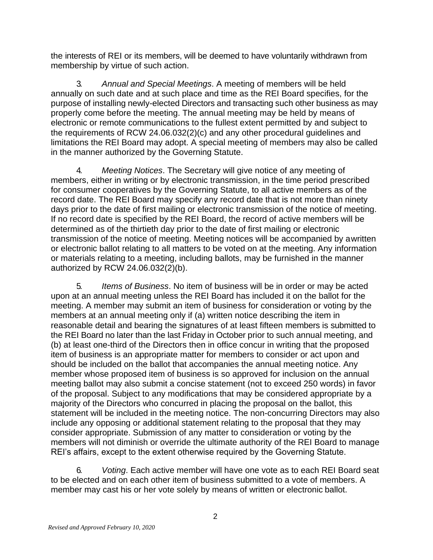the interests of REI or its members, will be deemed to have voluntarily withdrawn from membership by virtue of such action.

3. *Annual and Special Meetings*. A meeting of members will be held annually on such date and at such place and time as the REI Board specifies, for the purpose of installing newly-elected Directors and transacting such other business as may properly come before the meeting. The annual meeting may be held by means of electronic or remote communications to the fullest extent permitted by and subject to the requirements of RCW 24.06.032(2)(c) and any other procedural guidelines and limitations the REI Board may adopt. A special meeting of members may also be called in the manner authorized by the Governing Statute.

4. *Meeting Notices*. The Secretary will give notice of any meeting of members, either in writing or by electronic transmission, in the time period prescribed for consumer cooperatives by the Governing Statute, to all active members as of the record date. The REI Board may specify any record date that is not more than ninety days prior to the date of first mailing or electronic transmission of the notice of meeting. If no record date is specified by the REI Board, the record of active members will be determined as of the thirtieth day prior to the date of first mailing or electronic transmission of the notice of meeting. Meeting notices will be accompanied by awritten or electronic ballot relating to all matters to be voted on at the meeting. Any information or materials relating to a meeting, including ballots, may be furnished in the manner authorized by RCW 24.06.032(2)(b).

5. *Items of Business*. No item of business will be in order or may be acted upon at an annual meeting unless the REI Board has included it on the ballot for the meeting. A member may submit an item of business for consideration or voting by the members at an annual meeting only if (a) written notice describing the item in reasonable detail and bearing the signatures of at least fifteen members is submitted to the REI Board no later than the last Friday in October prior to such annual meeting, and (b) at least one-third of the Directors then in office concur in writing that the proposed item of business is an appropriate matter for members to consider or act upon and should be included on the ballot that accompanies the annual meeting notice. Any member whose proposed item of business is so approved for inclusion on the annual meeting ballot may also submit a concise statement (not to exceed 250 words) in favor of the proposal. Subject to any modifications that may be considered appropriate by a majority of the Directors who concurred in placing the proposal on the ballot, this statement will be included in the meeting notice. The non-concurring Directors may also include any opposing or additional statement relating to the proposal that they may consider appropriate. Submission of any matter to consideration or voting by the members will not diminish or override the ultimate authority of the REI Board to manage REI's affairs, except to the extent otherwise required by the Governing Statute.

6. *Voting*. Each active member will have one vote as to each REI Board seat to be elected and on each other item of business submitted to a vote of members. A member may cast his or her vote solely by means of written or electronic ballot.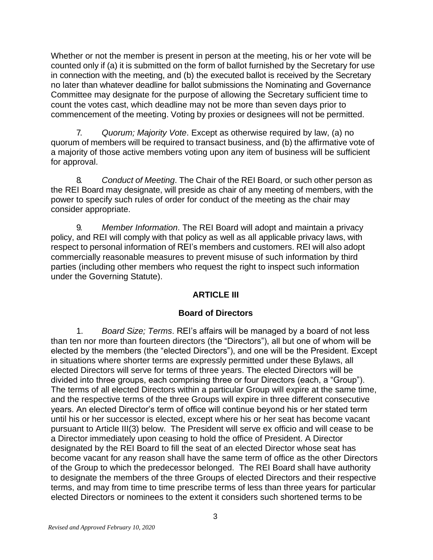Whether or not the member is present in person at the meeting, his or her vote will be counted only if (a) it is submitted on the form of ballot furnished by the Secretary for use in connection with the meeting, and (b) the executed ballot is received by the Secretary no later than whatever deadline for ballot submissions the Nominating and Governance Committee may designate for the purpose of allowing the Secretary sufficient time to count the votes cast, which deadline may not be more than seven days prior to commencement of the meeting. Voting by proxies or designees will not be permitted.

7. *Quorum; Majority Vote*. Except as otherwise required by law, (a) no quorum of members will be required to transact business, and (b) the affirmative vote of a majority of those active members voting upon any item of business will be sufficient for approval.

8. *Conduct of Meeting*. The Chair of the REI Board, or such other person as the REI Board may designate, will preside as chair of any meeting of members, with the power to specify such rules of order for conduct of the meeting as the chair may consider appropriate.

9. *Member Information*. The REI Board will adopt and maintain a privacy policy, and REI will comply with that policy as well as all applicable privacy laws, with respect to personal information of REI's members and customers. REI will also adopt commercially reasonable measures to prevent misuse of such information by third parties (including other members who request the right to inspect such information under the Governing Statute).

# **ARTICLE III**

# **Board of Directors**

1. *Board Size; Terms*. REI's affairs will be managed by a board of not less than ten nor more than fourteen directors (the "Directors"), all but one of whom will be elected by the members (the "elected Directors"), and one will be the President. Except in situations where shorter terms are expressly permitted under these Bylaws, all elected Directors will serve for terms of three years. The elected Directors will be divided into three groups, each comprising three or four Directors (each, a "Group"). The terms of all elected Directors within a particular Group will expire at the same time, and the respective terms of the three Groups will expire in three different consecutive years. An elected Director's term of office will continue beyond his or her stated term until his or her successor is elected, except where his or her seat has become vacant pursuant to Article III(3) below. The President will serve ex officio and will cease to be a Director immediately upon ceasing to hold the office of President. A Director designated by the REI Board to fill the seat of an elected Director whose seat has become vacant for any reason shall have the same term of office as the other Directors of the Group to which the predecessor belonged. The REI Board shall have authority to designate the members of the three Groups of elected Directors and their respective terms, and may from time to time prescribe terms of less than three years for particular elected Directors or nominees to the extent it considers such shortened terms to be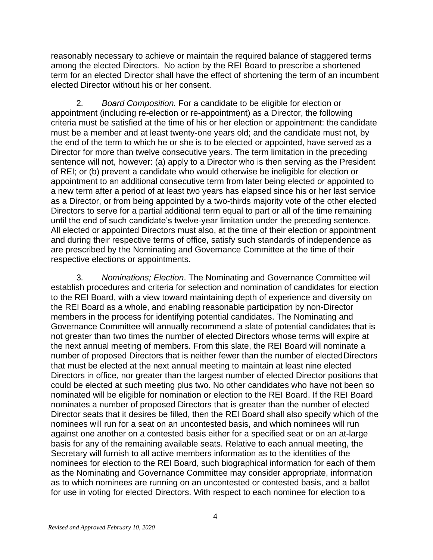reasonably necessary to achieve or maintain the required balance of staggered terms among the elected Directors. No action by the REI Board to prescribe a shortened term for an elected Director shall have the effect of shortening the term of an incumbent elected Director without his or her consent.

2. *Board Composition.* For a candidate to be eligible for election or appointment (including re-election or re-appointment) as a Director, the following criteria must be satisfied at the time of his or her election or appointment: the candidate must be a member and at least twenty-one years old; and the candidate must not, by the end of the term to which he or she is to be elected or appointed, have served as a Director for more than twelve consecutive years. The term limitation in the preceding sentence will not, however: (a) apply to a Director who is then serving as the President of REI; or (b) prevent a candidate who would otherwise be ineligible for election or appointment to an additional consecutive term from later being elected or appointed to a new term after a period of at least two years has elapsed since his or her last service as a Director, or from being appointed by a two-thirds majority vote of the other elected Directors to serve for a partial additional term equal to part or all of the time remaining until the end of such candidate's twelve-year limitation under the preceding sentence. All elected or appointed Directors must also, at the time of their election or appointment and during their respective terms of office, satisfy such standards of independence as are prescribed by the Nominating and Governance Committee at the time of their respective elections or appointments.

3. *Nominations; Election*. The Nominating and Governance Committee will establish procedures and criteria for selection and nomination of candidates for election to the REI Board, with a view toward maintaining depth of experience and diversity on the REI Board as a whole, and enabling reasonable participation by non-Director members in the process for identifying potential candidates. The Nominating and Governance Committee will annually recommend a slate of potential candidates that is not greater than two times the number of elected Directors whose terms will expire at the next annual meeting of members. From this slate, the REI Board will nominate a number of proposed Directors that is neither fewer than the number of electedDirectors that must be elected at the next annual meeting to maintain at least nine elected Directors in office, nor greater than the largest number of elected Director positions that could be elected at such meeting plus two. No other candidates who have not been so nominated will be eligible for nomination or election to the REI Board. If the REI Board nominates a number of proposed Directors that is greater than the number of elected Director seats that it desires be filled, then the REI Board shall also specify which of the nominees will run for a seat on an uncontested basis, and which nominees will run against one another on a contested basis either for a specified seat or on an at-large basis for any of the remaining available seats. Relative to each annual meeting, the Secretary will furnish to all active members information as to the identities of the nominees for election to the REI Board, such biographical information for each of them as the Nominating and Governance Committee may consider appropriate, information as to which nominees are running on an uncontested or contested basis, and a ballot for use in voting for elected Directors. With respect to each nominee for election to a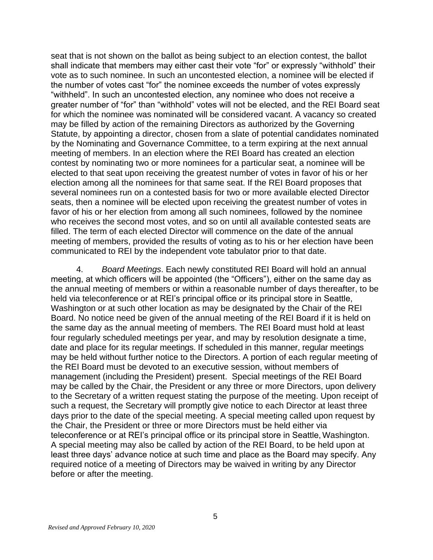seat that is not shown on the ballot as being subject to an election contest, the ballot shall indicate that members may either cast their vote "for" or expressly "withhold" their vote as to such nominee. In such an uncontested election, a nominee will be elected if the number of votes cast "for" the nominee exceeds the number of votes expressly "withheld". In such an uncontested election, any nominee who does not receive a greater number of "for" than "withhold" votes will not be elected, and the REI Board seat for which the nominee was nominated will be considered vacant. A vacancy so created may be filled by action of the remaining Directors as authorized by the Governing Statute, by appointing a director, chosen from a slate of potential candidates nominated by the Nominating and Governance Committee, to a term expiring at the next annual meeting of members. In an election where the REI Board has created an election contest by nominating two or more nominees for a particular seat, a nominee will be elected to that seat upon receiving the greatest number of votes in favor of his or her election among all the nominees for that same seat. If the REI Board proposes that several nominees run on a contested basis for two or more available elected Director seats, then a nominee will be elected upon receiving the greatest number of votes in favor of his or her election from among all such nominees, followed by the nominee who receives the second most votes, and so on until all available contested seats are filled. The term of each elected Director will commence on the date of the annual meeting of members, provided the results of voting as to his or her election have been communicated to REI by the independent vote tabulator prior to that date.

4. *Board Meetings*. Each newly constituted REI Board will hold an annual meeting, at which officers will be appointed (the "Officers"), either on the same day as the annual meeting of members or within a reasonable number of days thereafter, to be held via teleconference or at REI's principal office or its principal store in Seattle, Washington or at such other location as may be designated by the Chair of the REI Board. No notice need be given of the annual meeting of the REI Board if it is held on the same day as the annual meeting of members. The REI Board must hold at least four regularly scheduled meetings per year, and may by resolution designate a time, date and place for its regular meetings. If scheduled in this manner, regular meetings may be held without further notice to the Directors. A portion of each regular meeting of the REI Board must be devoted to an executive session, without members of management (including the President) present. Special meetings of the REI Board may be called by the Chair, the President or any three or more Directors, upon delivery to the Secretary of a written request stating the purpose of the meeting. Upon receipt of such a request, the Secretary will promptly give notice to each Director at least three days prior to the date of the special meeting. A special meeting called upon request by the Chair, the President or three or more Directors must be held either via teleconference or at REI's principal office or its principal store in Seattle, Washington. A special meeting may also be called by action of the REI Board, to be held upon at least three days' advance notice at such time and place as the Board may specify. Any required notice of a meeting of Directors may be waived in writing by any Director before or after the meeting.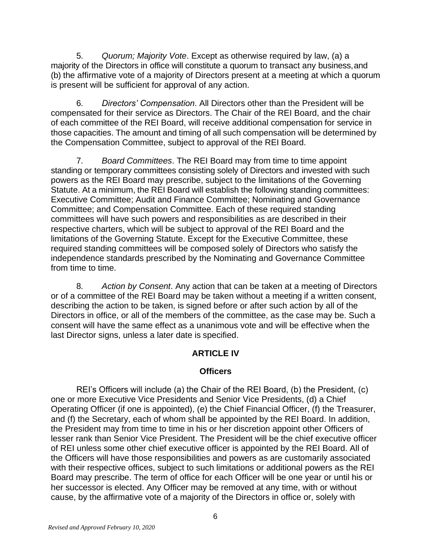5. *Quorum; Majority Vote*. Except as otherwise required by law, (a) a majority of the Directors in office will constitute a quorum to transact any business,and (b) the affirmative vote of a majority of Directors present at a meeting at which a quorum is present will be sufficient for approval of any action.

6. *Directors' Compensation*. All Directors other than the President will be compensated for their service as Directors. The Chair of the REI Board, and the chair of each committee of the REI Board, will receive additional compensation for service in those capacities. The amount and timing of all such compensation will be determined by the Compensation Committee, subject to approval of the REI Board.

7. *Board Committees*. The REI Board may from time to time appoint standing or temporary committees consisting solely of Directors and invested with such powers as the REI Board may prescribe, subject to the limitations of the Governing Statute. At a minimum, the REI Board will establish the following standing committees: Executive Committee; Audit and Finance Committee; Nominating and Governance Committee; and Compensation Committee. Each of these required standing committees will have such powers and responsibilities as are described in their respective charters, which will be subject to approval of the REI Board and the limitations of the Governing Statute. Except for the Executive Committee, these required standing committees will be composed solely of Directors who satisfy the independence standards prescribed by the Nominating and Governance Committee from time to time.

8. *Action by Consent*. Any action that can be taken at a meeting of Directors or of a committee of the REI Board may be taken without a meeting if a written consent, describing the action to be taken, is signed before or after such action by all of the Directors in office, or all of the members of the committee, as the case may be. Such a consent will have the same effect as a unanimous vote and will be effective when the last Director signs, unless a later date is specified.

# **ARTICLE IV**

## **Officers**

REI's Officers will include (a) the Chair of the REI Board, (b) the President, (c) one or more Executive Vice Presidents and Senior Vice Presidents, (d) a Chief Operating Officer (if one is appointed), (e) the Chief Financial Officer, (f) the Treasurer, and (f) the Secretary, each of whom shall be appointed by the REI Board. In addition, the President may from time to time in his or her discretion appoint other Officers of lesser rank than Senior Vice President. The President will be the chief executive officer of REI unless some other chief executive officer is appointed by the REI Board. All of the Officers will have those responsibilities and powers as are customarily associated with their respective offices, subject to such limitations or additional powers as the REI Board may prescribe. The term of office for each Officer will be one year or until his or her successor is elected. Any Officer may be removed at any time, with or without cause, by the affirmative vote of a majority of the Directors in office or, solely with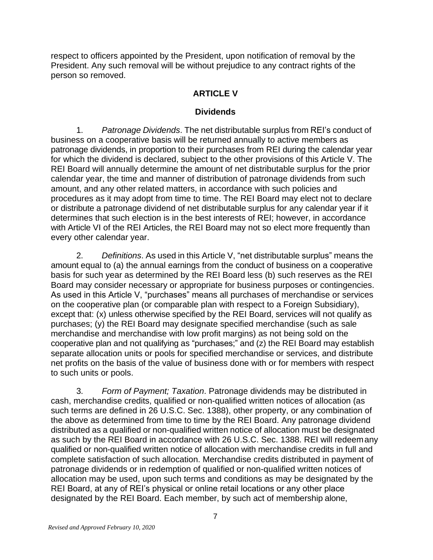respect to officers appointed by the President, upon notification of removal by the President. Any such removal will be without prejudice to any contract rights of the person so removed.

# **ARTICLE V**

## **Dividends**

1. *Patronage Dividends*. The net distributable surplus from REI's conduct of business on a cooperative basis will be returned annually to active members as patronage dividends, in proportion to their purchases from REI during the calendar year for which the dividend is declared, subject to the other provisions of this Article V. The REI Board will annually determine the amount of net distributable surplus for the prior calendar year, the time and manner of distribution of patronage dividends from such amount, and any other related matters, in accordance with such policies and procedures as it may adopt from time to time. The REI Board may elect not to declare or distribute a patronage dividend of net distributable surplus for any calendar year if it determines that such election is in the best interests of REI; however, in accordance with Article VI of the REI Articles, the REI Board may not so elect more frequently than every other calendar year.

2. *Definitions*. As used in this Article V, "net distributable surplus" means the amount equal to (a) the annual earnings from the conduct of business on a cooperative basis for such year as determined by the REI Board less (b) such reserves as the REI Board may consider necessary or appropriate for business purposes or contingencies. As used in this Article V, "purchases" means all purchases of merchandise or services on the cooperative plan (or comparable plan with respect to a Foreign Subsidiary), except that: (x) unless otherwise specified by the REI Board, services will not qualify as purchases; (y) the REI Board may designate specified merchandise (such as sale merchandise and merchandise with low profit margins) as not being sold on the cooperative plan and not qualifying as "purchases;" and (z) the REI Board may establish separate allocation units or pools for specified merchandise or services, and distribute net profits on the basis of the value of business done with or for members with respect to such units or pools.

3. *Form of Payment; Taxation*. Patronage dividends may be distributed in cash, merchandise credits, qualified or non-qualified written notices of allocation (as such terms are defined in 26 U.S.C. Sec. 1388), other property, or any combination of the above as determined from time to time by the REI Board. Any patronage dividend distributed as a qualified or non-qualified written notice of allocation must be designated as such by the REI Board in accordance with 26 U.S.C. Sec. 1388. REI will redeemany qualified or non-qualified written notice of allocation with merchandise credits in full and complete satisfaction of such allocation. Merchandise credits distributed in payment of patronage dividends or in redemption of qualified or non-qualified written notices of allocation may be used, upon such terms and conditions as may be designated by the REI Board, at any of REI's physical or online retail locations or any other place designated by the REI Board. Each member, by such act of membership alone,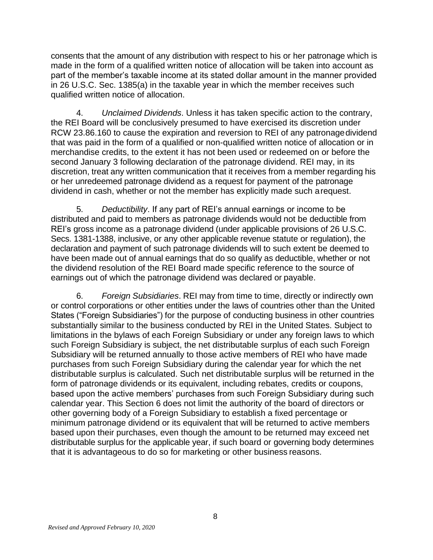consents that the amount of any distribution with respect to his or her patronage which is made in the form of a qualified written notice of allocation will be taken into account as part of the member's taxable income at its stated dollar amount in the manner provided in 26 U.S.C. Sec. 1385(a) in the taxable year in which the member receives such qualified written notice of allocation.

4. *Unclaimed Dividends*. Unless it has taken specific action to the contrary, the REI Board will be conclusively presumed to have exercised its discretion under RCW 23.86.160 to cause the expiration and reversion to REI of any patronagedividend that was paid in the form of a qualified or non-qualified written notice of allocation or in merchandise credits, to the extent it has not been used or redeemed on or before the second January 3 following declaration of the patronage dividend. REI may, in its discretion, treat any written communication that it receives from a member regarding his or her unredeemed patronage dividend as a request for payment of the patronage dividend in cash, whether or not the member has explicitly made such arequest.

5. *Deductibility*. If any part of REI's annual earnings or income to be distributed and paid to members as patronage dividends would not be deductible from REI's gross income as a patronage dividend (under applicable provisions of 26 U.S.C. Secs. 1381-1388, inclusive, or any other applicable revenue statute or regulation), the declaration and payment of such patronage dividends will to such extent be deemed to have been made out of annual earnings that do so qualify as deductible, whether or not the dividend resolution of the REI Board made specific reference to the source of earnings out of which the patronage dividend was declared or payable.

6. *Foreign Subsidiaries*. REI may from time to time, directly or indirectly own or control corporations or other entities under the laws of countries other than the United States ("Foreign Subsidiaries") for the purpose of conducting business in other countries substantially similar to the business conducted by REI in the United States. Subject to limitations in the bylaws of each Foreign Subsidiary or under any foreign laws to which such Foreign Subsidiary is subject, the net distributable surplus of each such Foreign Subsidiary will be returned annually to those active members of REI who have made purchases from such Foreign Subsidiary during the calendar year for which the net distributable surplus is calculated. Such net distributable surplus will be returned in the form of patronage dividends or its equivalent, including rebates, credits or coupons, based upon the active members' purchases from such Foreign Subsidiary during such calendar year. This Section 6 does not limit the authority of the board of directors or other governing body of a Foreign Subsidiary to establish a fixed percentage or minimum patronage dividend or its equivalent that will be returned to active members based upon their purchases, even though the amount to be returned may exceed net distributable surplus for the applicable year, if such board or governing body determines that it is advantageous to do so for marketing or other business reasons.